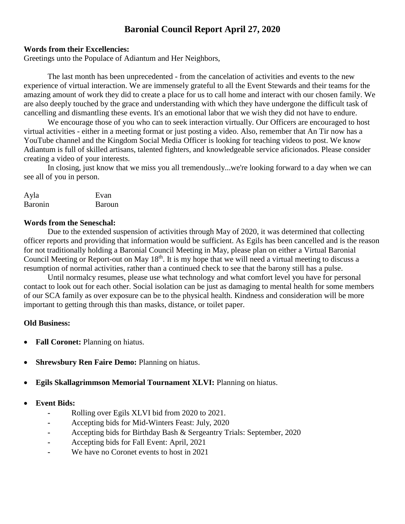# **Baronial Council Report April 27, 2020**

## **Words from their Excellencies:**

Greetings unto the Populace of Adiantum and Her Neighbors,

The last month has been unprecedented - from the cancelation of activities and events to the new experience of virtual interaction. We are immensely grateful to all the Event Stewards and their teams for the amazing amount of work they did to create a place for us to call home and interact with our chosen family. We are also deeply touched by the grace and understanding with which they have undergone the difficult task of cancelling and dismantling these events. It's an emotional labor that we wish they did not have to endure.

We encourage those of you who can to seek interaction virtually. Our Officers are encouraged to host virtual activities - either in a meeting format or just posting a video. Also, remember that An Tir now has a YouTube channel and the Kingdom Social Media Officer is looking for teaching videos to post. We know Adiantum is full of skilled artisans, talented fighters, and knowledgeable service aficionados. Please consider creating a video of your interests.

In closing, just know that we miss you all tremendously...we're looking forward to a day when we can see all of you in person.

| Ayla           | Evan   |
|----------------|--------|
| <b>Baronin</b> | Baroun |

## **Words from the Seneschal:**

Due to the extended suspension of activities through May of 2020, it was determined that collecting officer reports and providing that information would be sufficient. As Egils has been cancelled and is the reason for not traditionally holding a Baronial Council Meeting in May, please plan on either a Virtual Baronial Council Meeting or Report-out on May  $18<sup>th</sup>$ . It is my hope that we will need a virtual meeting to discuss a resumption of normal activities, rather than a continued check to see that the barony still has a pulse.

Until normalcy resumes, please use what technology and what comfort level you have for personal contact to look out for each other. Social isolation can be just as damaging to mental health for some members of our SCA family as over exposure can be to the physical health. Kindness and consideration will be more important to getting through this than masks, distance, or toilet paper.

# **Old Business:**

- **Fall Coronet:** Planning on hiatus.
- **Shrewsbury Ren Faire Demo:** Planning on hiatus.
- **Egils Skallagrimmson Memorial Tournament XLVI:** Planning on hiatus.

# **Event Bids:**

- **-** Rolling over Egils XLVI bid from 2020 to 2021.
- **-** Accepting bids for Mid-Winters Feast: July, 2020
- **-** Accepting bids for Birthday Bash & Sergeantry Trials: September, 2020
- **-** Accepting bids for Fall Event: April, 2021
- **-** We have no Coronet events to host in 2021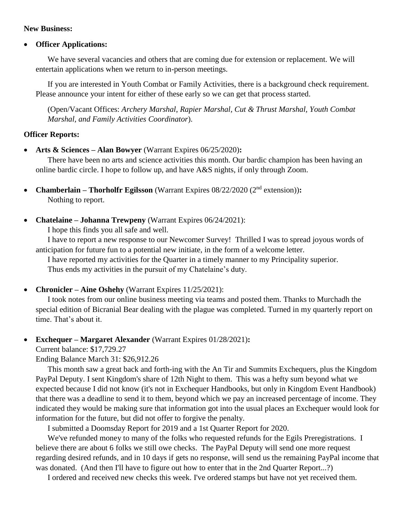### **New Business:**

## **Officer Applications:**

We have several vacancies and others that are coming due for extension or replacement. We will entertain applications when we return to in-person meetings.

If you are interested in Youth Combat or Family Activities, there is a background check requirement. Please announce your intent for either of these early so we can get that process started.

(Open/Vacant Offices: *Archery Marshal*, *Rapier Marshal, Cut & Thrust Marshal, Youth Combat Marshal, and Family Activities Coordinator*).

## **Officer Reports:**

**Arts & Sciences – Alan Bowyer** (Warrant Expires 06/25/2020)**:**

There have been no arts and science activities this month. Our bardic champion has been having an online bardic circle. I hope to follow up, and have A&S nights, if only through Zoom.

- **Chamberlain Thorholfr Egilsson** (Warrant Expires 08/22/2020 (2<sup>nd</sup> extension)): Nothing to report.
- **Chatelaine – Johanna Trewpeny** (Warrant Expires 06/24/2021):

I hope this finds you all safe and well.

I have to report a new response to our Newcomer Survey! Thrilled I was to spread joyous words of anticipation for future fun to a potential new initiate, in the form of a welcome letter.

I have reported my activities for the Quarter in a timely manner to my Principality superior. Thus ends my activities in the pursuit of my Chatelaine's duty.

• **Chronicler – Aine Oshehy** (Warrant Expires 11/25/2021):

I took notes from our online business meeting via teams and posted them. Thanks to Murchadh the special edition of Bicranial Bear dealing with the plague was completed. Turned in my quarterly report on time. That's about it.

**Exchequer – Margaret Alexander** (Warrant Expires 01/28/2021)**:** 

Current balance: \$17,729.27

Ending Balance March 31: \$26,912.26

This month saw a great back and forth-ing with the An Tir and Summits Exchequers, plus the Kingdom PayPal Deputy. I sent Kingdom's share of 12th Night to them. This was a hefty sum beyond what we expected because I did not know (it's not in Exchequer Handbooks, but only in Kingdom Event Handbook) that there was a deadline to send it to them, beyond which we pay an increased percentage of income. They indicated they would be making sure that information got into the usual places an Exchequer would look for information for the future, but did not offer to forgive the penalty.

I submitted a Doomsday Report for 2019 and a 1st Quarter Report for 2020.

We've refunded money to many of the folks who requested refunds for the Egils Preregistrations. I believe there are about 6 folks we still owe checks. The PayPal Deputy will send one more request regarding desired refunds, and in 10 days if gets no response, will send us the remaining PayPal income that was donated. (And then I'll have to figure out how to enter that in the 2nd Quarter Report...?)

I ordered and received new checks this week. I've ordered stamps but have not yet received them.